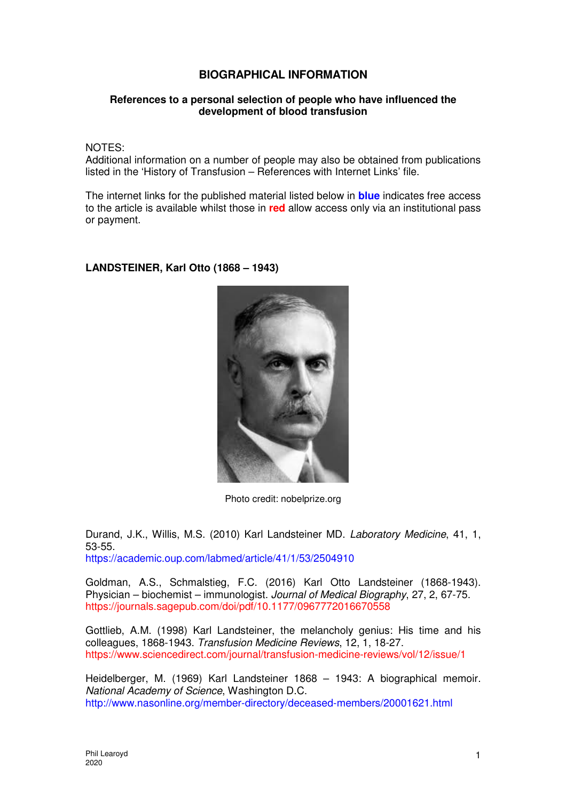## **BIOGRAPHICAL INFORMATION**

## **References to a personal selection of people who have influenced the development of blood transfusion**

NOTES:

Additional information on a number of people may also be obtained from publications listed in the 'History of Transfusion – References with Internet Links' file.

The internet links for the published material listed below in **blue** indicates free access to the article is available whilst those in **red** allow access only via an institutional pass or payment.

## **LANDSTEINER, Karl Otto (1868 – 1943)**



Photo credit: nobelprize.org

Durand, J.K., Willis, M.S. (2010) Karl Landsteiner MD. Laboratory Medicine, 41, 1, 53-55. https://academic.oup.com/labmed/article/41/1/53/2504910

Goldman, A.S., Schmalstieg, F.C. (2016) Karl Otto Landsteiner (1868-1943). Physician – biochemist – immunologist. Journal of Medical Biography, 27, 2, 67-75. https://journals.sagepub.com/doi/pdf/10.1177/0967772016670558

Gottlieb, A.M. (1998) Karl Landsteiner, the melancholy genius: His time and his colleagues, 1868-1943. Transfusion Medicine Reviews, 12, 1, 18-27. https://www.sciencedirect.com/journal/transfusion-medicine-reviews/vol/12/issue/1

Heidelberger, M. (1969) Karl Landsteiner 1868 – 1943: A biographical memoir. National Academy of Science, Washington D.C. http://www.nasonline.org/member-directory/deceased-members/20001621.html